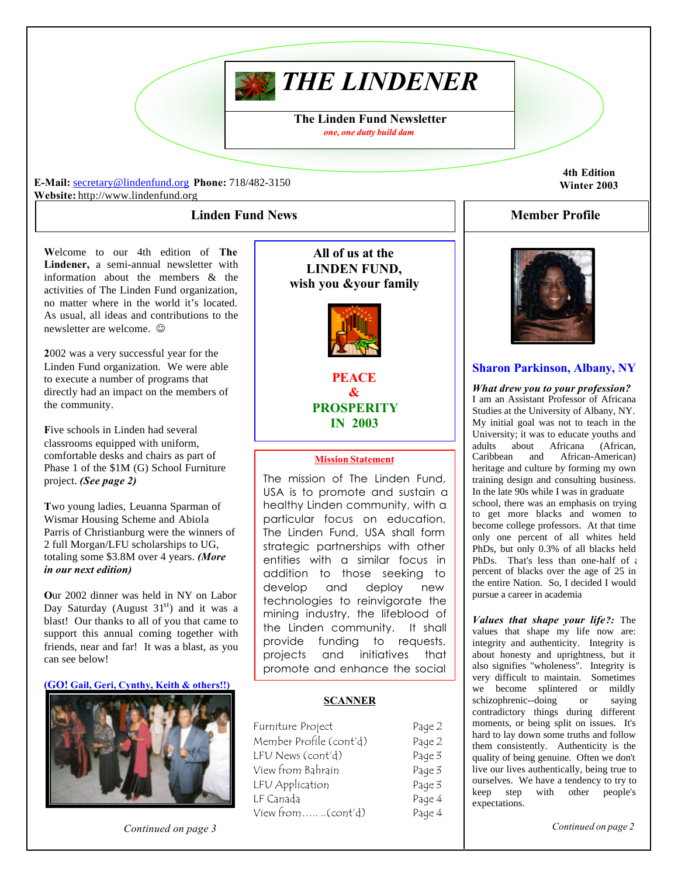# *THE LINDENER*

**The Linden Fund Newsletter** *one, one dutty build dam*

**E-Mail:** secretary@lindenfund.org **Phone:** 718/482-3150 **Website:** http://www.lindenfund.org

## **Linden Fund News**

**W**elcome to our 4th edition of **The Lindener,** a semi-annual newsletter with information about the members & the activities of The Linden Fund organization, no matter where in the world it's located. As usual, all ideas and contributions to the newsletter are welcome.  $\odot$ 

**2**002 was a very successful year for the Linden Fund organization. We were able to execute a number of programs that directly had an impact on the members of the community.

**F**ive schools in Linden had several classrooms equipped with uniform, comfortable desks and chairs as part of Phase 1 of the \$1M (G) School Furniture project. *(See page 2)*

**T**wo young ladies, Leuanna Sparman of Wismar Housing Scheme and Abiola Parris of Christianburg were the winners of 2 full Morgan/LFU scholarships to UG, totaling some \$3.8M over 4 years. *(More in our next edition)*

**O**ur 2002 dinner was held in NY on Labor Day Saturday (August  $31<sup>st</sup>$ ) and it was a blast! Our thanks to all of you that came to support this annual coming together with friends, near and far! It was a blast, as you can see below!

**(GO! Gail, Geri, Cynthy, Keith & others!!)**



*Continued on page 3*

**All of us at the LINDEN FUND, wish you &your family**



**PEACE & PROSPERITY IN 2003**

#### **Mission Statement**

The mission of The Linden Fund, USA is to promote and sustain a healthy Linden community, with a particular focus on education. The Linden Fund, USA shall form strategic partnerships with other entities with a similar focus in addition to those seeking to develop and deploy new technologies to reinvigorate the mining industry, the lifeblood of the Linden community. It shall provide funding to requests, projects and initiatives that promote and enhance the social

#### **SCANNER**

| Furniture Project       | Page 2 |
|-------------------------|--------|
| Member Profile (cont'd) | Page 2 |
| LFU News (cont'd)       | Page 3 |
| View from Bahrain       | Page 3 |
| LFU Application         | Page 3 |
| LF Canada               | Page 4 |
| View from(cont'd)       | Page 4 |

**4th Edition Winter 2003**

# **Member Profile**



# **Sharon Parkinson, Albany, NY**

*What drew you to your profession?* I am an Assistant Professor of Africana Studies at the University of Albany, NY. My initial goal was not to teach in the University; it was to educate youths and adults about Africana (African,<br>Caribbean and African-American) and African-American) heritage and culture by forming my own training design and consulting business. In the late 90s while I was in graduate school, there was an emphasis on trying to get more blacks and women to become college professors. At that time only one percent of all whites held PhDs, but only 0.3% of all blacks held PhDs. That's less than one-half of  $\epsilon$ percent of blacks over the age of 25 in the entire Nation. So, I decided I would pursue a career in academia

*Values that shape your life?:* The values that shape my life now are: integrity and authenticity. Integrity is about honesty and uprightness, but it also signifies "wholeness". Integrity is very difficult to maintain. Sometimes we become splintered or mildly schizophrenic--doing or saying contradictory things during different moments, or being split on issues. It's hard to lay down some truths and follow them consistently. Authenticity is the quality of being genuine. Often we don't live our lives authentically, being true to ourselves. We have a tendency to try to keep step with other people's expectations.

*Continued on page 2*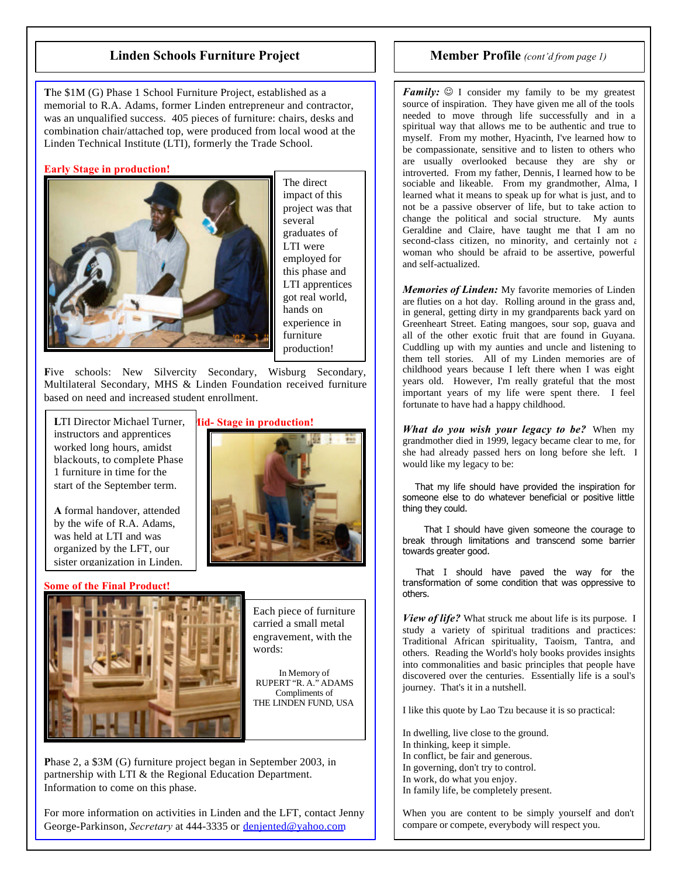# **Linden Schools Furniture Project**

**T**he \$1M (G) Phase 1 School Furniture Project, established as a memorial to R.A. Adams, former Linden entrepreneur and contractor, was an unqualified success. 405 pieces of furniture: chairs, desks and combination chair/attached top, were produced from local wood at the Linden Technical Institute (LTI), formerly the Trade School.

#### **Early Stage in production!**



The direct impact of this project was that several graduates of LTI were employed for this phase and LTI apprentices got real world, hands on experience in furniture production!

Five schools: New Silvercity Secondary, Wisburg Secondary, Multilateral Secondary, MHS & Linden Foundation received furniture based on need and increased student enrollment.

**LTI Director Michael Turner, did-Stage in production!** instructors and apprentices worked long hours, amidst blackouts, to complete Phase 1 furniture in time for the start of the September term.

**A** formal handover, attended by the wife of R.A. Adams, was held at LTI and was organized by the LFT, our sister organization in Linden.

#### **Some of the Final Product!**



Each piece of furniture carried a small metal engravement, with the words:

In Memory of RUPERT "R. A." ADAMS Compliments of THE LINDEN FUND, USA

**P**hase 2, a \$3M (G) furniture project began in September 2003, in partnership with LTI & the Regional Education Department. Information to come on this phase.

For more information on activities in Linden and the LFT, contact Jenny George-Parkinson, *Secretary* at 444-3335 or denjented@yahoo.com

# **Member Profile** *(cont'd from page 1)*

*Family:*  $\odot$  I consider my family to be my greatest source of inspiration. They have given me all of the tools needed to move through life successfully and in a spiritual way that allows me to be authentic and true to myself. From my mother, Hyacinth, I've learned how to be compassionate, sensitive and to listen to others who are usually overlooked because they are shy or introverted. From my father, Dennis, I learned how to be sociable and likeable. From my grandmother, Alma, I learned what it means to speak up for what is just, and to not be a passive observer of life, but to take action to change the political and social structure. My aunts Geraldine and Claire, have taught me that I am no second-class citizen, no minority, and certainly not a woman who should be afraid to be assertive, powerful and self-actualized.

*Memories of Linden:* My favorite memories of Linden are fluties on a hot day. Rolling around in the grass and, in general, getting dirty in my grandparents back yard on Greenheart Street. Eating mangoes, sour sop, guava and all of the other exotic fruit that are found in Guyana. Cuddling up with my aunties and uncle and listening to them tell stories. All of my Linden memories are of childhood years because I left there when I was eight years old. However, I'm really grateful that the most important years of my life were spent there. I feel fortunate to have had a happy childhood.

*What do you wish your legacy to be?* When my grandmother died in 1999, legacy became clear to me, for she had already passed hers on long before she left. I would like my legacy to be:

 That my life should have provided the inspiration for someone else to do whatever beneficial or positive little thing they could.

 That I should have given someone the courage to break through limitations and transcend some barrier towards greater good.

 That I should have paved the way for the transformation of some condition that was oppressive to others.

*View of life?* What struck me about life is its purpose. I study a variety of spiritual traditions and practices: Traditional African spirituality, Taoism, Tantra, and others. Reading the World's holy books provides insights into commonalities and basic principles that people have discovered over the centuries. Essentially life is a soul's journey. That's it in a nutshell.

I like this quote by Lao Tzu because it is so practical:

In dwelling, live close to the ground. In thinking, keep it simple. In conflict, be fair and generous. In governing, don't try to control. In work, do what you enjoy. In family life, be completely present.

When you are content to be simply yourself and don't compare or compete, everybody will respect you.

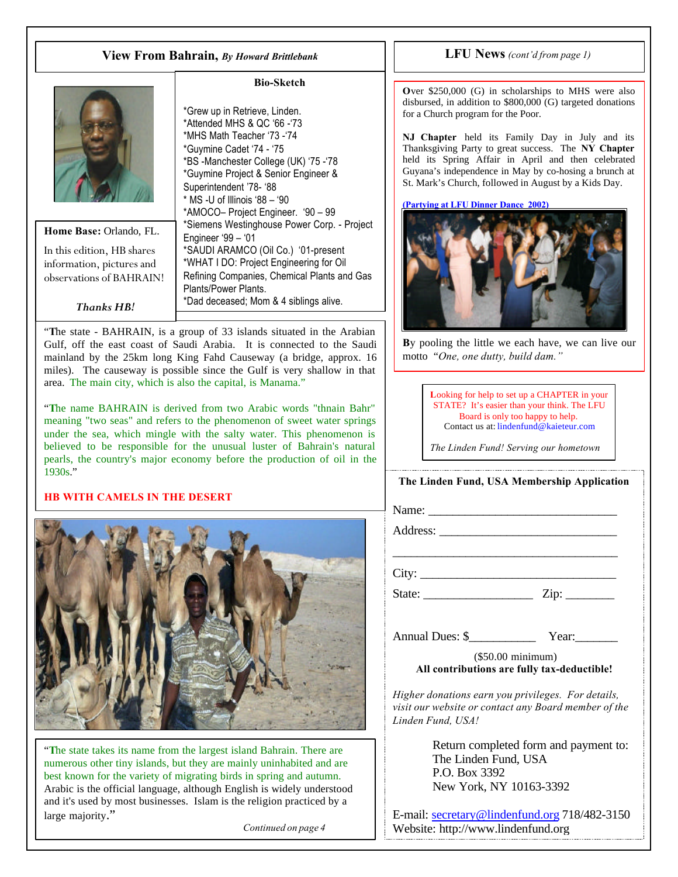# **View From Bahrain,** *By Howard Brittlebank* **LFU News** *(cont'd from page 1)*



## **Home Base:** Orlando, FL.

In this edition, HB shares information, pictures and observations of BAHRAIN!

*Thanks HB!*

#### **Bio-Sketch**

\*Grew up in Retrieve, Linden. \*Attended MHS & QC '66 -'73 \*MHS Math Teacher '73 -'74 \*Guymine Cadet '74 - '75 \*BS -Manchester College (UK) '75 -'78 \*Guymine Project & Senior Engineer & Superintendent '78- '88 \* MS -U of Illinois '88 – '90 \*AMOCO– Project Engineer. '90 – 99 \*Siemens Westinghouse Power Corp. - Project Engineer '99 – '01 \*SAUDI ARAMCO (Oil Co.) '01-present \*WHAT I DO: Project Engineering for Oil Refining Companies, Chemical Plants and Gas Plants/Power Plants. \*Dad deceased; Mom & 4 siblings alive.

"**T**he state - BAHRAIN, is a group of 33 islands situated in the Arabian Gulf, off the east coast of Saudi Arabia. It is connected to the Saudi mainland by the 25km long King Fahd Causeway (a bridge, approx. 16 miles). The causeway is possible since the Gulf is very shallow in that area. The main city, which is also the capital, is Manama."

"**T**he name BAHRAIN is derived from two Arabic words "thnain Bahr" meaning "two seas" and refers to the phenomenon of sweet water springs under the sea, which mingle with the salty water. This phenomenon is believed to be responsible for the unusual luster of Bahrain's natural pearls, the country's major economy before the production of oil in the 1930s."

#### **HB WITH CAMELS IN THE DESERT**



"**T**he state takes its name from the largest island Bahrain. There are numerous other tiny islands, but they are mainly uninhabited and are best known for the variety of migrating birds in spring and autumn. Arabic is the official language, although English is widely understood and it's used by most businesses. Islam is the religion practiced by a large majority."

*Continued on page 4*

**O**ver \$250,000 (G) in scholarships to MHS were also disbursed, in addition to  $$800,000$  (G) targeted donations for a Church program for the Poor.

**NJ Chapter** held its Family Day in July and its Thanksgiving Party to great success. The **NY Chapter** held its Spring Affair in April and then celebrated Guyana's independence in May by co-hosing a brunch at St. Mark's Church, followed in August by a Kids Day.

**(Partying at LFU Dinner Dance 2002)**



**B**y pooling the little we each have, we can live our motto "*One, one dutty, build dam."*

> **L**ooking for help to set up a CHAPTER in your STATE? It's easier than your think. The LFU Board is only too happy to help. Contact us at: lindenfund@kaieteur.com

*The Linden Fund! Serving our hometown*

## **The Linden Fund, USA Membership Application**

\_\_\_\_\_\_\_\_\_\_\_\_\_\_\_\_\_\_\_\_\_\_\_\_\_\_\_\_\_\_\_\_\_\_\_\_\_

Name:

Address: \_\_\_\_\_\_\_\_\_\_\_\_\_\_\_\_\_\_\_\_\_\_\_\_\_\_\_\_\_

 $City:$ 

State: \_\_\_\_\_\_\_\_\_\_\_\_\_\_\_\_\_\_ Zip: \_\_\_\_\_\_\_\_

Annual Dues: \$  $Year:$ 

(\$50.00 minimum) **All contributions are fully tax-deductible!**

*Higher donations earn you privileges. For details, visit our website or contact any Board member of the Linden Fund, USA!*

> Return completed form and payment to: The Linden Fund, USA P.O. Box 3392 New York, NY 10163-3392

E-mail: secretary@lindenfund.org 718/482-3150 Website: http://www.lindenfund.org